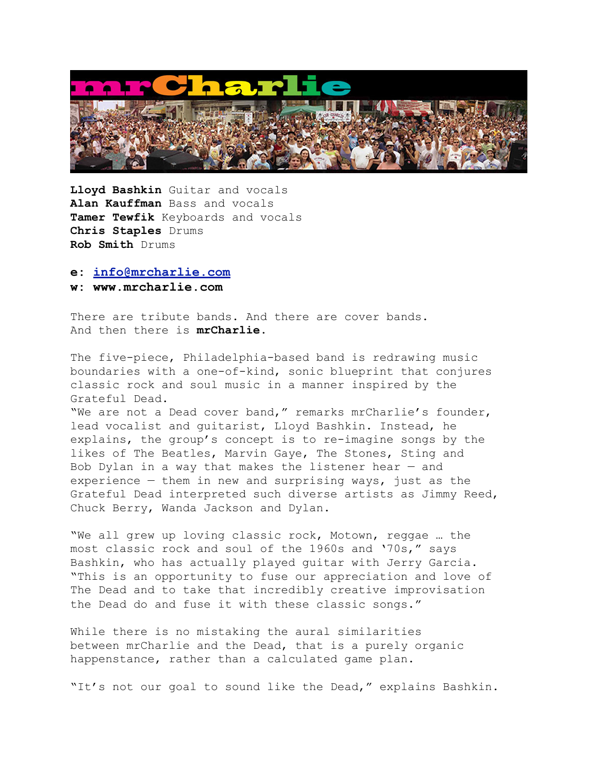

**Lloyd Bashkin** Guitar and vocals **Alan Kauffman** Bass and vocals **Tamer Tewfik** Keyboards and vocals **Chris Staples** Drums **Rob Smith** Drums

## **e: [info@mrcharlie.com](mailto:info@mrcharlie.com)**

## **w: www.mrcharlie.com**

There are tribute bands. And there are cover bands. And then there is **mrCharlie**.

The five-piece, Philadelphia-based band is redrawing music boundaries with a one-of-kind, sonic blueprint that conjures classic rock and soul music in a manner inspired by the Grateful Dead.

"We are not a Dead cover band," remarks mrCharlie's founder, lead vocalist and guitarist, Lloyd Bashkin. Instead, he explains, the group's concept is to re-imagine songs by the likes of The Beatles, Marvin Gaye, The Stones, Sting and Bob Dylan in a way that makes the listener hear — and experience  $-$  them in new and surprising ways, just as the Grateful Dead interpreted such diverse artists as Jimmy Reed, Chuck Berry, Wanda Jackson and Dylan.

"We all grew up loving classic rock, Motown, reggae … the most classic rock and soul of the 1960s and '70s," says Bashkin, who has actually played guitar with Jerry Garcia. "This is an opportunity to fuse our appreciation and love of The Dead and to take that incredibly creative improvisation the Dead do and fuse it with these classic songs."

While there is no mistaking the aural similarities between mrCharlie and the Dead, that is a purely organic happenstance, rather than a calculated game plan.

"It's not our goal to sound like the Dead," explains Bashkin.